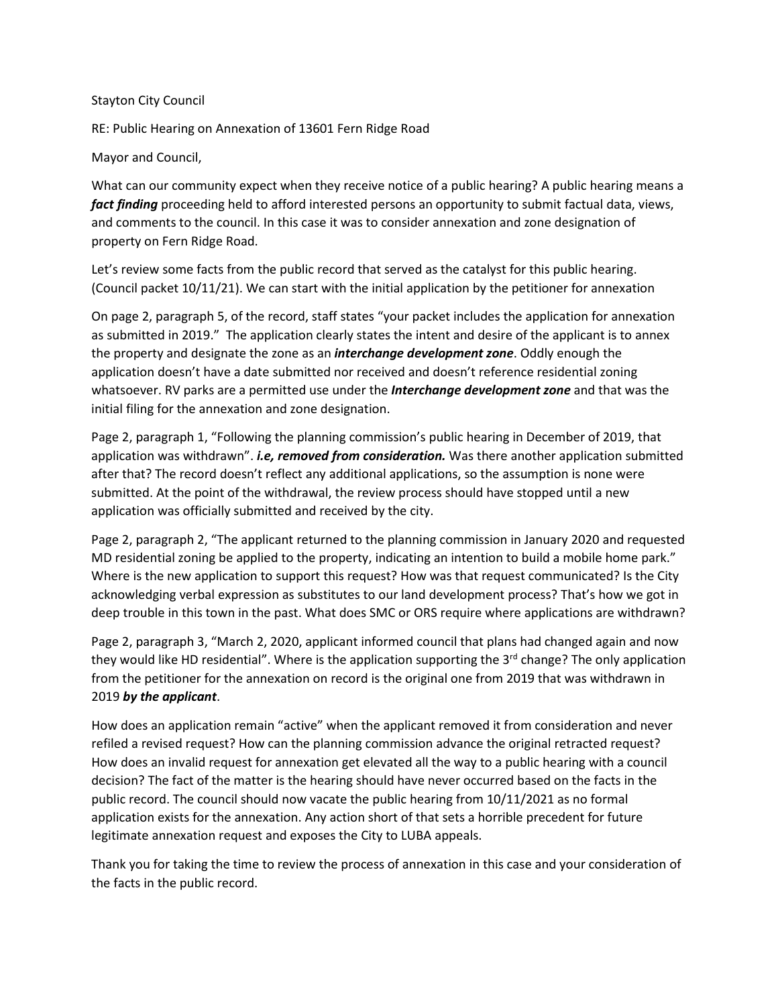## Stayton City Council

RE: Public Hearing on Annexation of 13601 Fern Ridge Road

Mayor and Council,

What can our community expect when they receive notice of a public hearing? A public hearing means a *fact finding* proceeding held to afford interested persons an opportunity to submit factual data, views, and comments to the council. In this case it was to consider annexation and zone designation of property on Fern Ridge Road.

Let's review some facts from the public record that served as the catalyst for this public hearing. (Council packet 10/11/21). We can start with the initial application by the petitioner for annexation

On page 2, paragraph 5, of the record, staff states "your packet includes the application for annexation as submitted in 2019." The application clearly states the intent and desire of the applicant is to annex the property and designate the zone as an *interchange development zone*. Oddly enough the application doesn't have a date submitted nor received and doesn't reference residential zoning whatsoever. RV parks are a permitted use under the *Interchange development zone* and that was the initial filing for the annexation and zone designation.

Page 2, paragraph 1, "Following the planning commission's public hearing in December of 2019, that application was withdrawn". *i.e, removed from consideration.* Was there another application submitted after that? The record doesn't reflect any additional applications, so the assumption is none were submitted. At the point of the withdrawal, the review process should have stopped until a new application was officially submitted and received by the city.

Page 2, paragraph 2, "The applicant returned to the planning commission in January 2020 and requested MD residential zoning be applied to the property, indicating an intention to build a mobile home park." Where is the new application to support this request? How was that request communicated? Is the City acknowledging verbal expression as substitutes to our land development process? That's how we got in deep trouble in this town in the past. What does SMC or ORS require where applications are withdrawn?

Page 2, paragraph 3, "March 2, 2020, applicant informed council that plans had changed again and now they would like HD residential". Where is the application supporting the  $3<sup>rd</sup>$  change? The only application from the petitioner for the annexation on record is the original one from 2019 that was withdrawn in 2019 *by the applicant*.

How does an application remain "active" when the applicant removed it from consideration and never refiled a revised request? How can the planning commission advance the original retracted request? How does an invalid request for annexation get elevated all the way to a public hearing with a council decision? The fact of the matter is the hearing should have never occurred based on the facts in the public record. The council should now vacate the public hearing from 10/11/2021 as no formal application exists for the annexation. Any action short of that sets a horrible precedent for future legitimate annexation request and exposes the City to LUBA appeals.

Thank you for taking the time to review the process of annexation in this case and your consideration of the facts in the public record.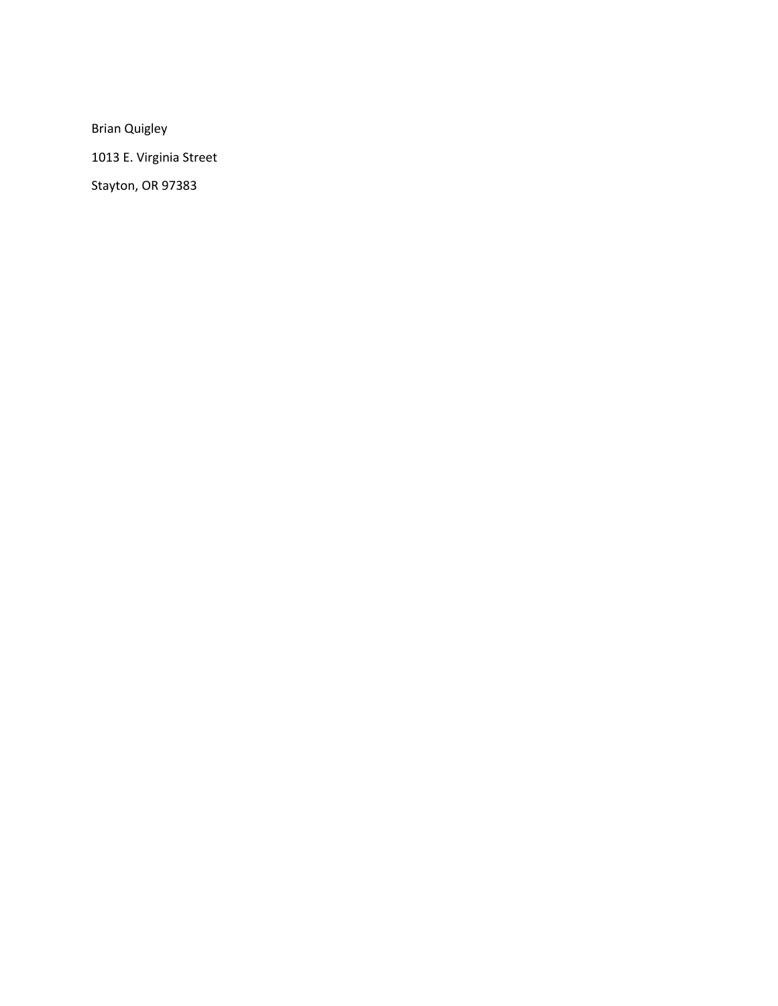Brian Quigley

1013 E. Virginia Street

Stayton, OR 97383